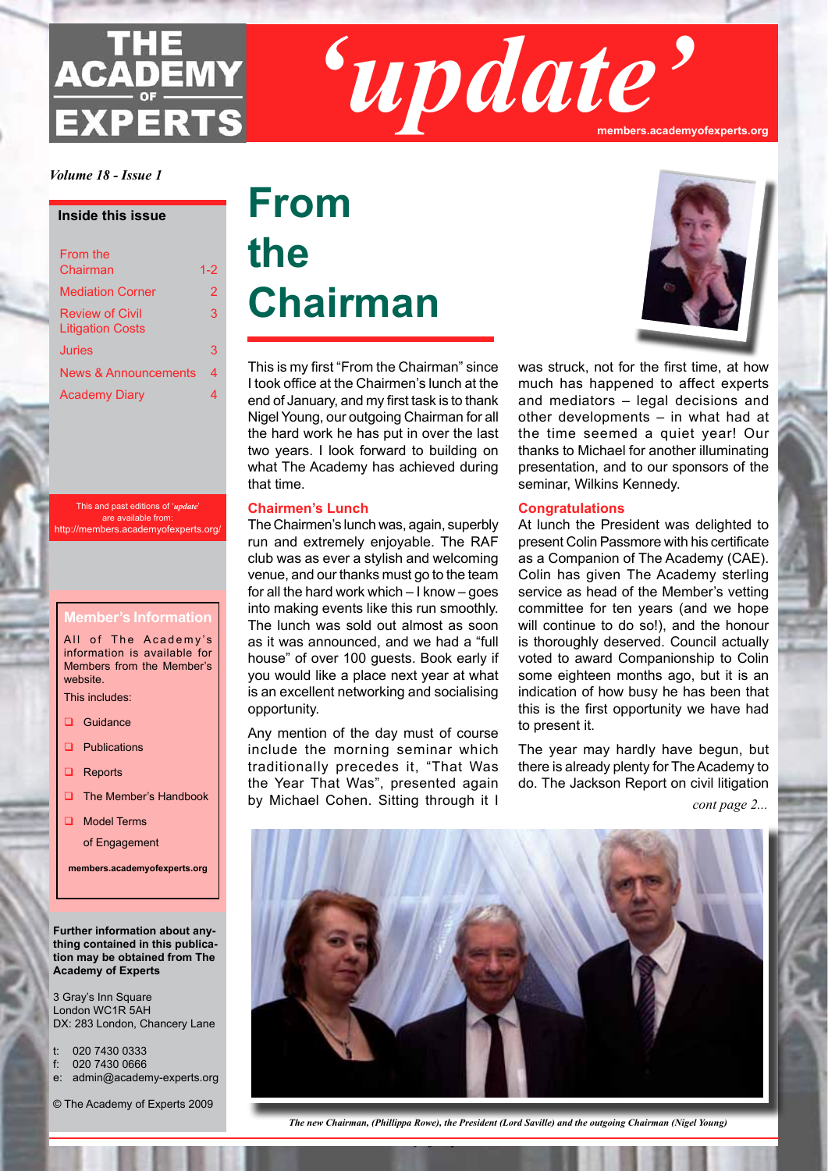# **ACADEMY EXPERTS**

*'update'* **members.academyofexperts.org**

*Volume 18 - Issue 1*

#### **Inside this issue**

| From the<br>Chairman                              | 1-2 |
|---------------------------------------------------|-----|
| <b>Mediation Corner</b>                           | 2   |
| <b>Review of Civil</b><br><b>Litigation Costs</b> | 3   |
| Juries                                            | 3   |
| <b>News &amp; Announcements</b>                   | 4   |
| <b>Academy Diary</b>                              | 4   |

This and past editions of '*update*' are available from: http://members.academyofexperts.org/

#### **Member's Information**

All of The Academy's information is available for Members from the Member's website.

This includes:

- Guidance
- $\Box$  Publications
- $\Box$  Reports
- $\Box$  The Member's Handbook
- **Q** Model Terms

of Engagement

**members.academyofexperts.org**

#### **Further information about anything contained in this publication may be obtained from The Academy of Experts**

3 Gray's Inn Square London WC1R 5AH DX: 283 London, Chancery Lane

t: 020 7430 0333

- f: 020 7430 0666
- e: admin@academy-experts.org
- © The Academy of Experts 2009

## **From the Chairman**

This is my first "From the Chairman" since I took office at the Chairmen's lunch at the end of January, and my first task is to thank Nigel Young, our outgoing Chairman for all the hard work he has put in over the last two years. I look forward to building on what The Academy has achieved during that time.

#### **Chairmen's Lunch**

The Chairmen's lunch was, again, superbly run and extremely enjoyable. The RAF club was as ever a stylish and welcoming venue, and our thanks must go to the team for all the hard work which – I know – goes into making events like this run smoothly. The lunch was sold out almost as soon as it was announced, and we had a "full house" of over 100 guests. Book early if you would like a place next year at what is an excellent networking and socialising opportunity.

Any mention of the day must of course include the morning seminar which traditionally precedes it, "That Was the Year That Was", presented again by Michael Cohen. Sitting through it I



was struck, not for the first time, at how much has happened to affect experts and mediators – legal decisions and other developments – in what had at the time seemed a quiet year! Our thanks to Michael for another illuminating presentation, and to our sponsors of the seminar, Wilkins Kennedy.

#### **Congratulations**

At lunch the President was delighted to present Colin Passmore with his certificate as a Companion of The Academy (CAE). Colin has given The Academy sterling service as head of the Member's vetting committee for ten years (and we hope will continue to do so!), and the honour is thoroughly deserved. Council actually voted to award Companionship to Colin some eighteen months ago, but it is an indication of how busy he has been that this is the first opportunity we have had to present it.

The year may hardly have begun, but there is already plenty for The Academy to do. The Jackson Report on civil litigation

*cont page 2...*



*The new Chairman, (Phillippa Rowe), the President (Lord Saville) and the outgoing Chairman (Nigel Young)*

*The Academy of Experts*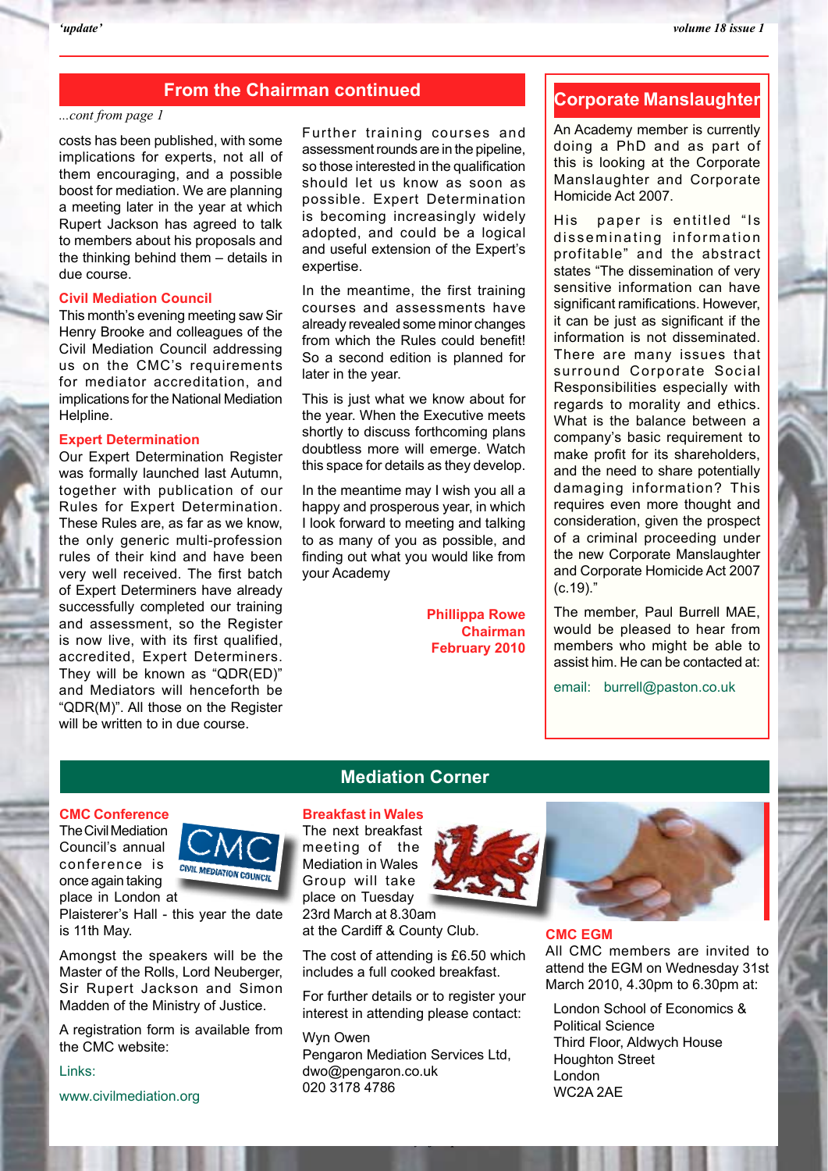#### **From the Chairman continued**

#### *...cont from page 1*

costs has been published, with some implications for experts, not all of them encouraging, and a possible boost for mediation. We are planning a meeting later in the year at which Rupert Jackson has agreed to talk to members about his proposals and the thinking behind them – details in due course.

#### **Civil Mediation Council**

This month's evening meeting saw Sir Henry Brooke and colleagues of the Civil Mediation Council addressing us on the CMC's requirements for mediator accreditation, and implications for the National Mediation Helpline.

#### **Expert Determination**

Our Expert Determination Register was formally launched last Autumn, together with publication of our Rules for Expert Determination. These Rules are, as far as we know, the only generic multi-profession rules of their kind and have been very well received. The first batch of Expert Determiners have already successfully completed our training and assessment, so the Register is now live, with its first qualified, accredited, Expert Determiners. They will be known as "QDR(ED)" and Mediators will henceforth be "QDR(M)". All those on the Register will be written to in due course.

Further training courses and assessment rounds are in the pipeline, so those interested in the qualification should let us know as soon as possible. Expert Determination is becoming increasingly widely adopted, and could be a logical and useful extension of the Expert's expertise.

In the meantime, the first training courses and assessments have already revealed some minor changes from which the Rules could benefit! So a second edition is planned for later in the year.

This is just what we know about for the year. When the Executive meets shortly to discuss forthcoming plans doubtless more will emerge. Watch this space for details as they develop.

In the meantime may I wish you all a happy and prosperous year, in which I look forward to meeting and talking to as many of you as possible, and finding out what you would like from your Academy

> **Phillippa Rowe Chairman February 2010**

#### **Corporate Manslaughter**

An Academy member is currently doing a PhD and as part of this is looking at the Corporate Manslaughter and Corporate Homicide Act 2007.

His paper is entitled "Is disseminating information profitable" and the abstract states "The dissemination of very sensitive information can have significant ramifications. However, it can be just as significant if the information is not disseminated. There are many issues that surround Corporate Social Responsibilities especially with regards to morality and ethics. What is the balance between a company's basic requirement to make profit for its shareholders, and the need to share potentially damaging information? This requires even more thought and consideration, given the prospect of a criminal proceeding under the new Corporate Manslaughter and Corporate Homicide Act 2007 (c.19)."

The member, Paul Burrell MAE, would be pleased to hear from members who might be able to assist him. He can be contacted at:

email: burrell@paston.co.uk

#### **CMC Conference**

The Civil Mediation Council's annual CONFERENCE IS CIVIL MEDIATION COUNCIL once again taking place in London at



Plaisterer's Hall - this year the date is 11th May.

Amongst the speakers will be the Master of the Rolls, Lord Neuberger, Sir Rupert Jackson and Simon Madden of the Ministry of Justice.

A registration form is available from the CMC website:

Links: www.civilmediation.org

#### **Mediation Corner**

#### **Breakfast in Wales**

The next breakfast meeting of the Mediation in Wales Group will take place on Tuesday 23rd March at 8.30am at the Cardiff & County Club.

The cost of attending is £6.50 which includes a full cooked breakfast.

For further details or to register your interest in attending please contact:

Wyn Owen Pengaron Mediation Services Ltd, dwo@pengaron.co.uk 020 3178 4786

*The Academy of Experts*



#### **CMC EGM**

All CMC members are invited to attend the EGM on Wednesday 31st March 2010, 4.30pm to 6.30pm at:

London School of Economics & Political Science Third Floor, Aldwych House Houghton Street London WC2A 2AE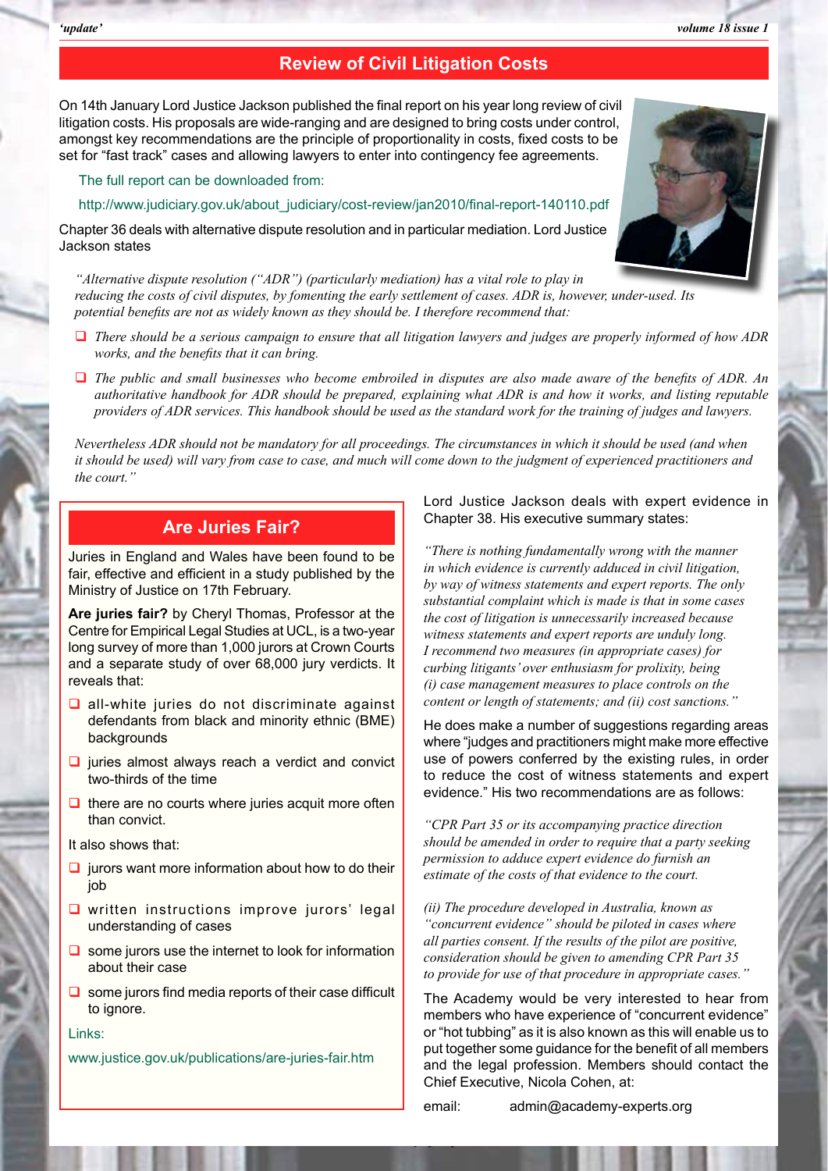#### **Review of Civil Litigation Costs**

On 14th January Lord Justice Jackson published the final report on his year long review of civil litigation costs. His proposals are wide-ranging and are designed to bring costs under control, amongst key recommendations are the principle of proportionality in costs, fixed costs to be set for "fast track" cases and allowing lawyers to enter into contingency fee agreements.

The full report can be downloaded from:

http://www.judiciary.gov.uk/about\_judiciary/cost-review/jan2010/final-report-140110.pdf

Chapter 36 deals with alternative dispute resolution and in particular mediation. Lord Justice Jackson states

*"Alternative dispute resolution ("ADR") (particularly mediation) has a vital role to play in reducing the costs of civil disputes, by fomenting the early settlement of cases. ADR is, however, under-used. Its potential benefits are not as widely known as they should be. I therefore recommend that:*

- *There should be a serious campaign to ensure that all litigation lawyers and judges are properly informed of how ADR works, and the benefits that it can bring.*
- *The public and small businesses who become embroiled in disputes are also made aware of the benefits of ADR. An authoritative handbook for ADR should be prepared, explaining what ADR is and how it works, and listing reputable providers of ADR services. This handbook should be used as the standard work for the training of judges and lawyers.*

*Nevertheless ADR should not be mandatory for all proceedings. The circumstances in which it should be used (and when it should be used) will vary from case to case, and much will come down to the judgment of experienced practitioners and the court."*

*The Academy of Experts*

#### **Are Juries Fair?**

Juries in England and Wales have been found to be fair, effective and efficient in a study published by the Ministry of Justice on 17th February.

**Are juries fair?** by Cheryl Thomas, Professor at the Centre for Empirical Legal Studies at UCL, is a two-year long survey of more than 1,000 jurors at Crown Courts and a separate study of over 68,000 jury verdicts. It reveals that:

- $\Box$  all-white juries do not discriminate against defendants from black and minority ethnic (BME) backgrounds
- $\Box$  juries almost always reach a verdict and convict two-thirds of the time
- $\Box$  there are no courts where juries acquit more often than convict.

It also shows that:

- $\Box$  jurors want more information about how to do their job
- $\Box$  written instructions improve jurors' legal understanding of cases
- $\Box$  some jurors use the internet to look for information about their case
- $\Box$  some jurors find media reports of their case difficult to ignore.

#### Links:

www.justice.gov.uk/publications/are-juries-fair.htm

Lord Justice Jackson deals with expert evidence in Chapter 38. His executive summary states:

*"There is nothing fundamentally wrong with the manner in which evidence is currently adduced in civil litigation, by way of witness statements and expert reports. The only substantial complaint which is made is that in some cases the cost of litigation is unnecessarily increased because witness statements and expert reports are unduly long. I recommend two measures (in appropriate cases) for curbing litigants' over enthusiasm for prolixity, being (i) case management measures to place controls on the content or length of statements; and (ii) cost sanctions."* 

He does make a number of suggestions regarding areas where "judges and practitioners might make more effective use of powers conferred by the existing rules, in order to reduce the cost of witness statements and expert evidence." His two recommendations are as follows:

*"CPR Part 35 or its accompanying practice direction should be amended in order to require that a party seeking permission to adduce expert evidence do furnish an estimate of the costs of that evidence to the court.*

*(ii) The procedure developed in Australia, known as "concurrent evidence" should be piloted in cases where all parties consent. If the results of the pilot are positive, consideration should be given to amending CPR Part 35 to provide for use of that procedure in appropriate cases."*

The Academy would be very interested to hear from members who have experience of "concurrent evidence" or "hot tubbing" as it is also known as this will enable us to put together some guidance for the benefit of all members and the legal profession. Members should contact the Chief Executive, Nicola Cohen, at:

email: admin@academy-experts.org